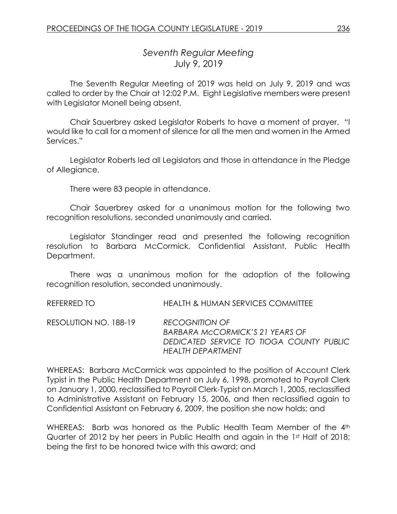# *Seventh Regular Meeting* July 9, 2019

The Seventh Regular Meeting of 2019 was held on July 9, 2019 and was called to order by the Chair at 12:02 P.M. Eight Legislative members were present with Legislator Monell being absent.

Chair Sauerbrey asked Legislator Roberts to have a moment of prayer. "I would like to call for a moment of silence for all the men and women in the Armed Services."

Legislator Roberts led all Legislators and those in attendance in the Pledge of Allegiance.

There were 83 people in attendance.

Chair Sauerbrey asked for a unanimous motion for the following two recognition resolutions, seconded unanimously and carried.

Legislator Standinger read and presented the following recognition resolution to Barbara McCormick, Confidential Assistant, Public Health Department.

There was a unanimous motion for the adoption of the following recognition resolution, seconded unanimously.

REFERRED TO HEALTH & HUMAN SERVICES COMMITTEE

RESOLUTION NO. 188-19 *RECOGNITION OF BARBARA McCORMICK'S 21 YEARS OF DEDICATED SERVICE TO TIOGA COUNTY PUBLIC HEALTH DEPARTMENT*

WHEREAS: Barbara McCormick was appointed to the position of Account Clerk Typist in the Public Health Department on July 6, 1998, promoted to Payroll Clerk on January 1, 2000, reclassified to Payroll Clerk-Typist on March 1, 2005, reclassified to Administrative Assistant on February 15, 2006, and then reclassified again to Confidential Assistant on February 6, 2009, the position she now holds; and

WHEREAS: Barb was honored as the Public Health Team Member of the 4th Quarter of 2012 by her peers in Public Health and again in the 1st Half of 2018; being the first to be honored twice with this award; and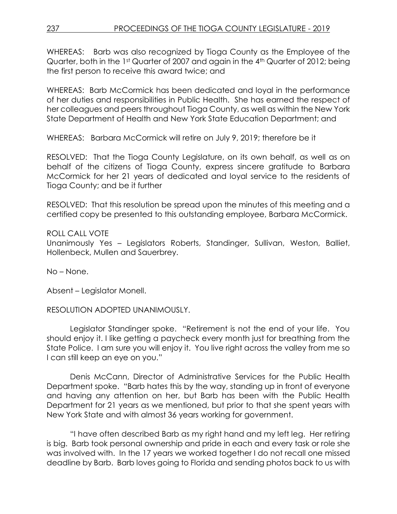WHEREAS: Barb was also recognized by Tioga County as the Employee of the Quarter, both in the 1st Quarter of 2007 and again in the 4<sup>th</sup> Quarter of 2012; being the first person to receive this award twice; and

WHEREAS: Barb McCormick has been dedicated and loyal in the performance of her duties and responsibilities in Public Health. She has earned the respect of her colleagues and peers throughout Tioga County, as well as within the New York State Department of Health and New York State Education Department; and

WHEREAS: Barbara McCormick will retire on July 9, 2019; therefore be it

RESOLVED: That the Tioga County Legislature, on its own behalf, as well as on behalf of the citizens of Tioga County, express sincere gratitude to Barbara McCormick for her 21 years of dedicated and loyal service to the residents of Tioga County; and be it further

RESOLVED: That this resolution be spread upon the minutes of this meeting and a certified copy be presented to this outstanding employee, Barbara McCormick.

### ROLL CALL VOTE

Unanimously Yes – Legislators Roberts, Standinger, Sullivan, Weston, Balliet, Hollenbeck, Mullen and Sauerbrey.

No – None.

Absent – Legislator Monell.

RESOLUTION ADOPTED UNANIMOUSLY.

Legislator Standinger spoke. "Retirement is not the end of your life. You should enjoy it. I like getting a paycheck every month just for breathing from the State Police. I am sure you will enjoy it. You live right across the valley from me so I can still keep an eye on you."

Denis McCann, Director of Administrative Services for the Public Health Department spoke. "Barb hates this by the way, standing up in front of everyone and having any attention on her, but Barb has been with the Public Health Department for 21 years as we mentioned, but prior to that she spent years with New York State and with almost 36 years working for government.

"I have often described Barb as my right hand and my left leg. Her retiring is big. Barb took personal ownership and pride in each and every task or role she was involved with. In the 17 years we worked together I do not recall one missed deadline by Barb. Barb loves going to Florida and sending photos back to us with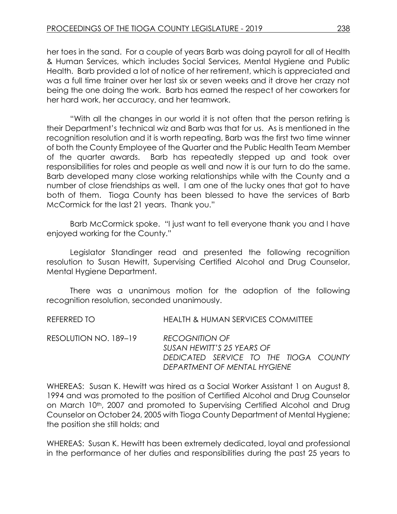her toes in the sand. For a couple of years Barb was doing payroll for all of Health & Human Services, which includes Social Services, Mental Hygiene and Public Health. Barb provided a lot of notice of her retirement, which is appreciated and was a full time trainer over her last six or seven weeks and it drove her crazy not being the one doing the work. Barb has earned the respect of her coworkers for her hard work, her accuracy, and her teamwork.

"With all the changes in our world it is not often that the person retiring is their Department's technical wiz and Barb was that for us. As is mentioned in the recognition resolution and it is worth repeating, Barb was the first two time winner of both the County Employee of the Quarter and the Public Health Team Member of the quarter awards. Barb has repeatedly stepped up and took over responsibilities for roles and people as well and now it is our turn to do the same. Barb developed many close working relationships while with the County and a number of close friendships as well. I am one of the lucky ones that got to have both of them. Tioga County has been blessed to have the services of Barb McCormick for the last 21 years. Thank you."

Barb McCormick spoke. "I just want to tell everyone thank you and I have enjoyed working for the County."

Legislator Standinger read and presented the following recognition resolution to Susan Hewitt, Supervising Certified Alcohol and Drug Counselor, Mental Hygiene Department.

There was a unanimous motion for the adoption of the following recognition resolution, seconded unanimously.

REFERRED TO HEALTH & HUMAN SERVICES COMMITTEE

RESOLUTION NO. 189–19 *RECOGNITION OF SUSAN HEWITT'S 25 YEARS OF DEDICATED SERVICE TO THE TIOGA COUNTY DEPARTMENT OF MENTAL HYGIENE*

WHEREAS: Susan K. Hewitt was hired as a Social Worker Assistant 1 on August 8, 1994 and was promoted to the position of Certified Alcohol and Drug Counselor on March 10<sup>th</sup>, 2007 and promoted to Supervising Certified Alcohol and Drug Counselor on October 24, 2005 with Tioga County Department of Mental Hygiene; the position she still holds; and

WHEREAS: Susan K. Hewitt has been extremely dedicated, loyal and professional in the performance of her duties and responsibilities during the past 25 years to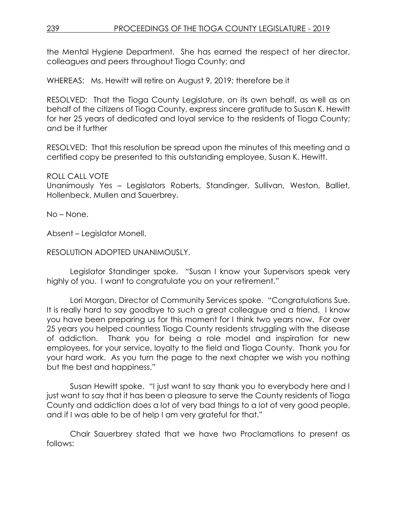the Mental Hygiene Department. She has earned the respect of her director, colleagues and peers throughout Tioga County; and

WHEREAS: Ms. Hewitt will retire on August 9, 2019; therefore be it

RESOLVED: That the Tioga County Legislature, on its own behalf, as well as on behalf of the citizens of Tioga County, express sincere gratitude to Susan K. Hewitt for her 25 years of dedicated and loyal service to the residents of Tioga County; and be it further

RESOLVED: That this resolution be spread upon the minutes of this meeting and a certified copy be presented to this outstanding employee, Susan K. Hewitt.

ROLL CALL VOTE

Unanimously Yes – Legislators Roberts, Standinger, Sullivan, Weston, Balliet, Hollenbeck, Mullen and Sauerbrey.

No – None.

Absent – Legislator Monell.

RESOLUTION ADOPTED UNANIMOUSLY.

Legislator Standinger spoke. "Susan I know your Supervisors speak very highly of you. I want to congratulate you on your retirement."

Lori Morgan, Director of Community Services spoke. "Congratulations Sue. It is really hard to say goodbye to such a great colleague and a friend. I know you have been preparing us for this moment for I think two years now. For over 25 years you helped countless Tioga County residents struggling with the disease of addiction. Thank you for being a role model and inspiration for new employees, for your service, loyalty to the field and Tioga County. Thank you for your hard work. As you turn the page to the next chapter we wish you nothing but the best and happiness."

Susan Hewitt spoke. "I just want to say thank you to everybody here and I just want to say that it has been a pleasure to serve the County residents of Tioga County and addiction does a lot of very bad things to a lot of very good people, and if I was able to be of help I am very grateful for that."

Chair Sauerbrey stated that we have two Proclamations to present as follows: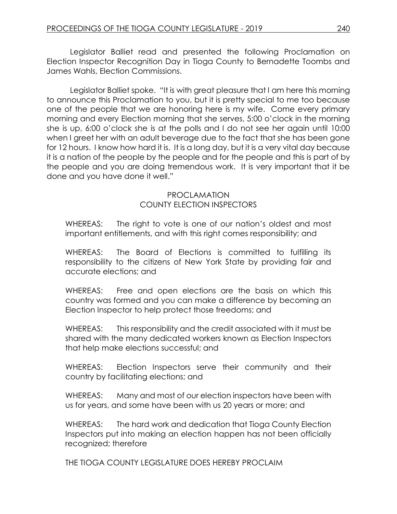Legislator Balliet read and presented the following Proclamation on Election Inspector Recognition Day in Tioga County to Bernadette Toombs and James Wahls, Election Commissions.

Legislator Balliet spoke. "It is with great pleasure that I am here this morning to announce this Proclamation to you, but it is pretty special to me too because one of the people that we are honoring here is my wife. Come every primary morning and every Election morning that she serves, 5:00 o'clock in the morning she is up, 6:00 o'clock she is at the polls and I do not see her again until 10:00 when I greet her with an adult beverage due to the fact that she has been gone for 12 hours. I know how hard it is. It is a long day, but it is a very vital day because it is a nation of the people by the people and for the people and this is part of by the people and you are doing tremendous work. It is very important that it be done and you have done it well."

#### PROCLAMATION COUNTY ELECTION INSPECTORS

WHEREAS: The right to vote is one of our nation's oldest and most important entitlements, and with this right comes responsibility; and

WHEREAS: The Board of Elections is committed to fulfilling its responsibility to the citizens of New York State by providing fair and accurate elections; and

WHEREAS: Free and open elections are the basis on which this country was formed and you can make a difference by becoming an Election Inspector to help protect those freedoms; and

WHEREAS: This responsibility and the credit associated with it must be shared with the many dedicated workers known as Election Inspectors that help make elections successful; and

WHEREAS: Election Inspectors serve their community and their country by facilitating elections; and

WHEREAS: Many and most of our election inspectors have been with us for years, and some have been with us 20 years or more; and

WHEREAS: The hard work and dedication that Tioga County Election Inspectors put into making an election happen has not been officially recognized; therefore

THE TIOGA COUNTY LEGISLATURE DOES HEREBY PROCLAIM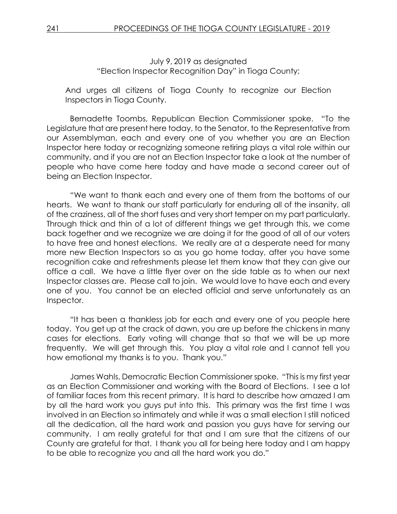July 9, 2019 as designated "Election Inspector Recognition Day" in Tioga County;

And urges all citizens of Tioga County to recognize our Election Inspectors in Tioga County.

Bernadette Toombs, Republican Election Commissioner spoke. "To the Legislature that are present here today, to the Senator, to the Representative from our Assemblyman, each and every one of you whether you are an Election Inspector here today or recognizing someone retiring plays a vital role within our community, and if you are not an Election Inspector take a look at the number of people who have come here today and have made a second career out of being an Election Inspector.

"We want to thank each and every one of them from the bottoms of our hearts. We want to thank our staff particularly for enduring all of the insanity, all of the craziness, all of the short fuses and very short temper on my part particularly. Through thick and thin of a lot of different things we get through this, we come back together and we recognize we are doing it for the good of all of our voters to have free and honest elections. We really are at a desperate need for many more new Election Inspectors so as you go home today, after you have some recognition cake and refreshments please let them know that they can give our office a call. We have a little flyer over on the side table as to when our next Inspector classes are. Please call to join. We would love to have each and every one of you. You cannot be an elected official and serve unfortunately as an Inspector.

"It has been a thankless job for each and every one of you people here today. You get up at the crack of dawn, you are up before the chickens in many cases for elections. Early voting will change that so that we will be up more frequently. We will get through this. You play a vital role and I cannot tell you how emotional my thanks is to you. Thank you."

James Wahls, Democratic Election Commissioner spoke. "This is my first year as an Election Commissioner and working with the Board of Elections. I see a lot of familiar faces from this recent primary. It is hard to describe how amazed I am by all the hard work you guys put into this. This primary was the first time I was involved in an Election so intimately and while it was a small election I still noticed all the dedication, all the hard work and passion you guys have for serving our community. I am really grateful for that and I am sure that the citizens of our County are grateful for that. I thank you all for being here today and I am happy to be able to recognize you and all the hard work you do."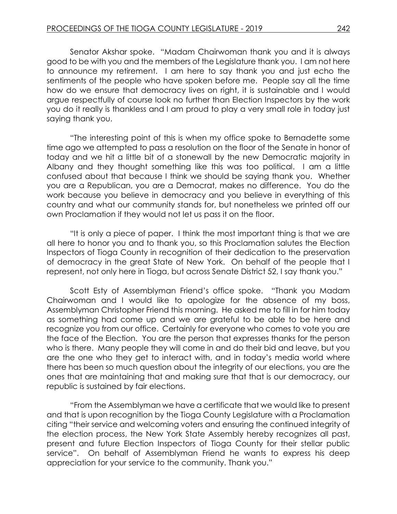Senator Akshar spoke. "Madam Chairwoman thank you and it is always good to be with you and the members of the Legislature thank you. I am not here to announce my retirement. I am here to say thank you and just echo the sentiments of the people who have spoken before me. People say all the time how do we ensure that democracy lives on right, it is sustainable and I would argue respectfully of course look no further than Election Inspectors by the work you do it really is thankless and I am proud to play a very small role in today just saying thank you.

"The interesting point of this is when my office spoke to Bernadette some time ago we attempted to pass a resolution on the floor of the Senate in honor of today and we hit a little bit of a stonewall by the new Democratic majority in Albany and they thought something like this was too political. I am a little confused about that because I think we should be saying thank you. Whether you are a Republican, you are a Democrat, makes no difference. You do the work because you believe in democracy and you believe in everything of this country and what our community stands for, but nonetheless we printed off our own Proclamation if they would not let us pass it on the floor.

"It is only a piece of paper. I think the most important thing is that we are all here to honor you and to thank you, so this Proclamation salutes the Election Inspectors of Tioga County in recognition of their dedication to the preservation of democracy in the great State of New York. On behalf of the people that I represent, not only here in Tioga, but across Senate District 52, I say thank you."

Scott Esty of Assemblyman Friend's office spoke. "Thank you Madam Chairwoman and I would like to apologize for the absence of my boss, Assemblyman Christopher Friend this morning. He asked me to fill in for him today as something had come up and we are grateful to be able to be here and recognize you from our office. Certainly for everyone who comes to vote you are the face of the Election. You are the person that expresses thanks for the person who is there. Many people they will come in and do their bid and leave, but you are the one who they get to interact with, and in today's media world where there has been so much question about the integrity of our elections, you are the ones that are maintaining that and making sure that that is our democracy, our republic is sustained by fair elections.

"From the Assemblyman we have a certificate that we would like to present and that is upon recognition by the Tioga County Legislature with a Proclamation citing "their service and welcoming voters and ensuring the continued integrity of the election process, the New York State Assembly hereby recognizes all past, present and future Election Inspectors of Tioga County for their stellar public service". On behalf of Assemblyman Friend he wants to express his deep appreciation for your service to the community. Thank you."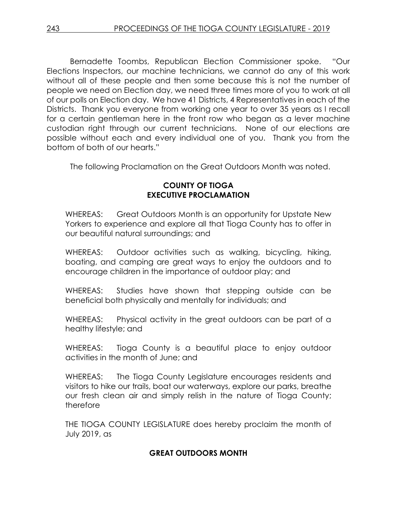Bernadette Toombs, Republican Election Commissioner spoke. "Our Elections Inspectors, our machine technicians, we cannot do any of this work without all of these people and then some because this is not the number of people we need on Election day, we need three times more of you to work at all of our polls on Election day. We have 41 Districts, 4 Representatives in each of the Districts. Thank you everyone from working one year to over 35 years as I recall for a certain gentleman here in the front row who began as a lever machine custodian right through our current technicians. None of our elections are possible without each and every individual one of you. Thank you from the bottom of both of our hearts."

The following Proclamation on the Great Outdoors Month was noted.

## **COUNTY OF TIOGA EXECUTIVE PROCLAMATION**

WHEREAS: Great Outdoors Month is an opportunity for Upstate New Yorkers to experience and explore all that Tioga County has to offer in our beautiful natural surroundings; and

WHEREAS: Outdoor activities such as walking, bicycling, hiking, boating, and camping are great ways to enjoy the outdoors and to encourage children in the importance of outdoor play; and

WHEREAS: Studies have shown that stepping outside can be beneficial both physically and mentally for individuals; and

WHEREAS: Physical activity in the great outdoors can be part of a healthy lifestyle; and

WHEREAS: Tioga County is a beautiful place to enjoy outdoor activities in the month of June; and

WHEREAS: The Tioga County Legislature encourages residents and visitors to hike our trails, boat our waterways, explore our parks, breathe our fresh clean air and simply relish in the nature of Tioga County; therefore

THE TIOGA COUNTY LEGISLATURE does hereby proclaim the month of July 2019, as

# **GREAT OUTDOORS MONTH**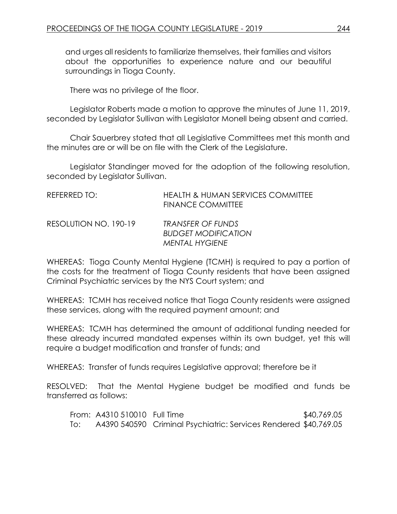and urges all residents to familiarize themselves, their families and visitors about the opportunities to experience nature and our beautiful surroundings in Tioga County.

There was no privilege of the floor.

Legislator Roberts made a motion to approve the minutes of June 11, 2019, seconded by Legislator Sullivan with Legislator Monell being absent and carried.

Chair Sauerbrey stated that all Legislative Committees met this month and the minutes are or will be on file with the Clerk of the Legislature.

Legislator Standinger moved for the adoption of the following resolution, seconded by Legislator Sullivan.

| REFERRED TO:          | <b>HEALTH &amp; HUMAN SERVICES COMMITTEE</b><br><b>FINANCE COMMITTEE</b> |
|-----------------------|--------------------------------------------------------------------------|
| RESOLUTION NO. 190-19 | TRANSFER OF FUNDS<br><b>BUDGET MODIFICATION</b><br><b>MENTAL HYGIENE</b> |

WHEREAS: Tioga County Mental Hygiene (TCMH) is required to pay a portion of the costs for the treatment of Tioga County residents that have been assigned Criminal Psychiatric services by the NYS Court system; and

WHEREAS: TCMH has received notice that Tioga County residents were assigned these services, along with the required payment amount; and

WHEREAS: TCMH has determined the amount of additional funding needed for these already incurred mandated expenses within its own budget, yet this will require a budget modification and transfer of funds; and

WHEREAS: Transfer of funds requires Legislative approval; therefore be it

RESOLVED: That the Mental Hygiene budget be modified and funds be transferred as follows:

|     | From: A4310 510010 Full Time |                                                                  | \$40,769.05 |
|-----|------------------------------|------------------------------------------------------------------|-------------|
| To: |                              | A4390 540590 Criminal Psychiatric: Services Rendered \$40,769.05 |             |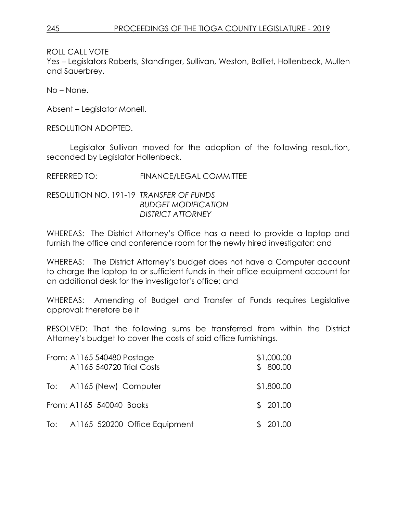Yes – Legislators Roberts, Standinger, Sullivan, Weston, Balliet, Hollenbeck, Mullen and Sauerbrey.

No – None.

Absent – Legislator Monell.

RESOLUTION ADOPTED.

Legislator Sullivan moved for the adoption of the following resolution, seconded by Legislator Hollenbeck.

REFERRED TO: FINANCE/LEGAL COMMITTEE

RESOLUTION NO. 191-19 *TRANSFER OF FUNDS BUDGET MODIFICATION DISTRICT ATTORNEY*

WHEREAS: The District Attorney's Office has a need to provide a laptop and furnish the office and conference room for the newly hired investigator; and

WHEREAS: The District Attorney's budget does not have a Computer account to charge the laptop to or sufficient funds in their office equipment account for an additional desk for the investigator's office; and

WHEREAS: Amending of Budget and Transfer of Funds requires Legislative approval; therefore be it

RESOLVED: That the following sums be transferred from within the District Attorney's budget to cover the costs of said office furnishings.

| From: A1165 540480 Postage<br>A1165 540720 Trial Costs | \$1,000.00<br>\$800.00 |
|--------------------------------------------------------|------------------------|
| To: A1165 (New) Computer                               | \$1,800.00             |
| From: A1165 540040 Books                               | \$201.00               |
| To: A1165 520200 Office Equipment                      | \$201.00               |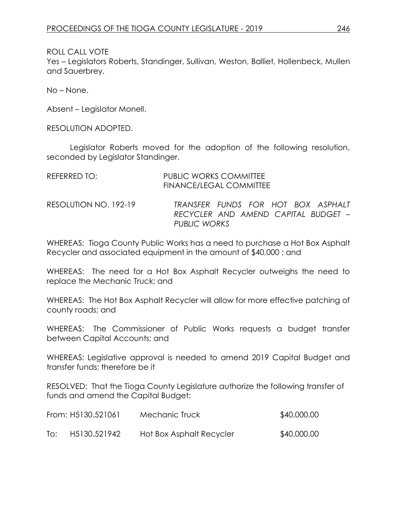ROLL CALL VOTE Yes – Legislators Roberts, Standinger, Sullivan, Weston, Balliet, Hollenbeck, Mullen and Sauerbrey.

No – None.

Absent – Legislator Monell.

RESOLUTION ADOPTED.

Legislator Roberts moved for the adoption of the following resolution, seconded by Legislator Standinger.

| REFERRED TO:          | <b>PUBLIC WORKS COMMITTEE</b><br><b>FINANCE/LEGAL COMMITTEE</b>                           |
|-----------------------|-------------------------------------------------------------------------------------------|
| RESOLUTION NO. 192-19 | TRANSFER FUNDS FOR HOT BOX ASPHALT<br>RECYCLER AND AMEND CAPITAL BUDGET -<br>PUBLIC WORKS |

WHEREAS: Tioga County Public Works has a need to purchase a Hot Box Asphalt Recycler and associated equipment in the amount of \$40,000 ; and

WHEREAS: The need for a Hot Box Asphalt Recycler outweighs the need to replace the Mechanic Truck; and

WHEREAS: The Hot Box Asphalt Recycler will allow for more effective patching of county roads; and

WHEREAS: The Commissioner of Public Works requests a budget transfer between Capital Accounts; and

WHEREAS: Legislative approval is needed to amend 2019 Capital Budget and transfer funds; therefore be it

RESOLVED: That the Tioga County Legislature authorize the following transfer of funds and amend the Capital Budget:

|     | From: H5130.521061 | Mechanic Truck           | \$40,000.00 |
|-----|--------------------|--------------------------|-------------|
| To: | H5130.521942       | Hot Box Asphalt Recycler | \$40,000.00 |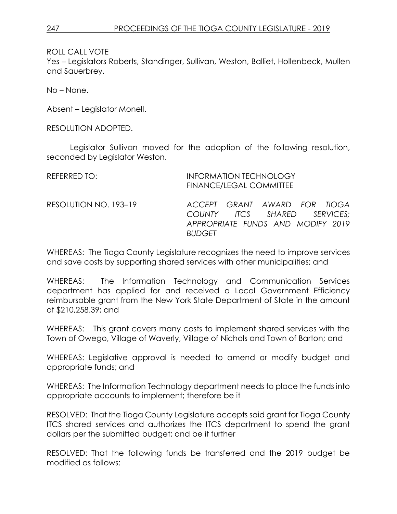Yes – Legislators Roberts, Standinger, Sullivan, Weston, Balliet, Hollenbeck, Mullen and Sauerbrey.

No – None.

Absent – Legislator Monell.

RESOLUTION ADOPTED.

Legislator Sullivan moved for the adoption of the following resolution, seconded by Legislator Weston.

| REFERRED TO:          | <b>FINANCE/LEGAL COMMITTEE</b>                                                                                     | <b>INFORMATION TECHNOLOGY</b> |  |
|-----------------------|--------------------------------------------------------------------------------------------------------------------|-------------------------------|--|
| RESOLUTION NO. 193-19 | ACCEPT GRANT AWARD FOR TIOGA<br>COUNTY ITCS SHARED SERVICES;<br>APPROPRIATE FUNDS AND MODIFY 2019<br><b>BUDGFT</b> |                               |  |

WHEREAS: The Tioga County Legislature recognizes the need to improve services and save costs by supporting shared services with other municipalities; and

WHEREAS: The Information Technology and Communication Services department has applied for and received a Local Government Efficiency reimbursable grant from the New York State Department of State in the amount of \$210,258.39; and

WHEREAS: This grant covers many costs to implement shared services with the Town of Owego, Village of Waverly, Village of Nichols and Town of Barton; and

WHEREAS: Legislative approval is needed to amend or modify budget and appropriate funds; and

WHEREAS: The Information Technology department needs to place the funds into appropriate accounts to implement; therefore be it

RESOLVED: That the Tioga County Legislature accepts said grant for Tioga County ITCS shared services and authorizes the ITCS department to spend the grant dollars per the submitted budget; and be it further

RESOLVED: That the following funds be transferred and the 2019 budget be modified as follows: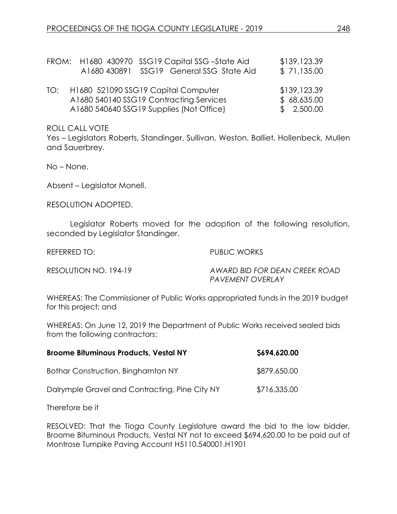|     | FROM: H1680 430970 SSG19 Capital SSG-State Aid<br>A1680 430891 SSG19 General SSG State Aid                                 | \$139,123.39<br>\$71,135.00               |
|-----|----------------------------------------------------------------------------------------------------------------------------|-------------------------------------------|
| TO: | H1680 521090 SSG19 Capital Computer<br>A1680 540140 SSG19 Contracting Services<br>A1680 540640 SSG19 Supplies (Not Office) | \$139,123.39<br>\$68,635.00<br>\$2,500.00 |

Yes – Legislators Roberts, Standinger, Sullivan, Weston, Balliet, Hollenbeck, Mullen and Sauerbrey.

No – None.

Absent – Legislator Monell.

RESOLUTION ADOPTED.

Legislator Roberts moved for the adoption of the following resolution, seconded by Legislator Standinger.

REFERRED TO: PUBLIC WORKS

RESOLUTION NO. 194-19 *AWARD BID FOR DEAN CREEK ROAD PAVEMENT OVERLAY* 

WHEREAS: The Commissioner of Public Works appropriated funds in the 2019 budget for this project; and

WHEREAS: On June 12, 2019 the Department of Public Works received sealed bids from the following contractors:

| <b>Broome Bituminous Products, Vestal NY</b>   | \$694,620.00 |
|------------------------------------------------|--------------|
| Bothar Construction, Binghamton NY             | \$879,650.00 |
| Dalrymple Gravel and Contracting, Pine City NY | \$716,335.00 |

Therefore be it

RESOLVED: That the Tioga County Legislature award the bid to the low bidder, Broome Bituminous Products, Vestal NY not to exceed \$694,620.00 to be paid out of Montrose Turnpike Paving Account H5110.540001.H1901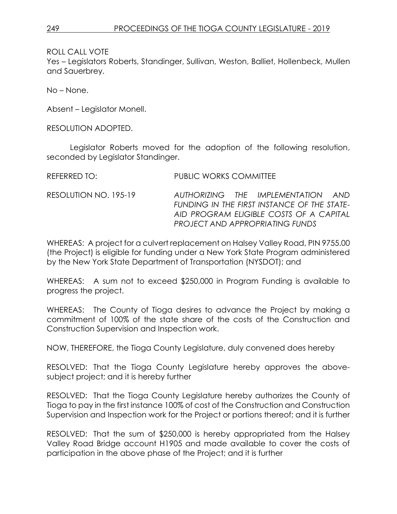Yes – Legislators Roberts, Standinger, Sullivan, Weston, Balliet, Hollenbeck, Mullen and Sauerbrey.

No – None.

Absent – Legislator Monell.

RESOLUTION ADOPTED.

Legislator Roberts moved for the adoption of the following resolution, seconded by Legislator Standinger.

| REFERRED TO: | <b>PUBLIC WORKS COMMITTEE</b> |
|--------------|-------------------------------|
|              |                               |

RESOLUTION NO. 195-19 *AUTHORIZING THE IMPLEMENTATION AND FUNDING IN THE FIRST INSTANCE OF THE STATE-AID PROGRAM ELIGIBLE COSTS OF A CAPITAL PROJECT AND APPROPRIATING FUNDS*

WHEREAS: A project for a culvert replacement on Halsey Valley Road, PIN 9755.00 (the Project) is eligible for funding under a New York State Program administered by the New York State Department of Transportation (NYSDOT); and

WHEREAS: A sum not to exceed \$250,000 in Program Funding is available to progress the project.

WHEREAS: The County of Tioga desires to advance the Project by making a commitment of 100% of the state share of the costs of the Construction and Construction Supervision and Inspection work.

NOW, THEREFORE, the Tioga County Legislature, duly convened does hereby

RESOLVED: That the Tioga County Legislature hereby approves the abovesubject project; and it is hereby further

RESOLVED: That the Tioga County Legislature hereby authorizes the County of Tioga to pay in the first instance 100% of cost of the Construction and Construction Supervision and Inspection work for the Project or portions thereof; and it is further

RESOLVED: That the sum of \$250,000 is hereby appropriated from the Halsey Valley Road Bridge account H1905 and made available to cover the costs of participation in the above phase of the Project; and it is further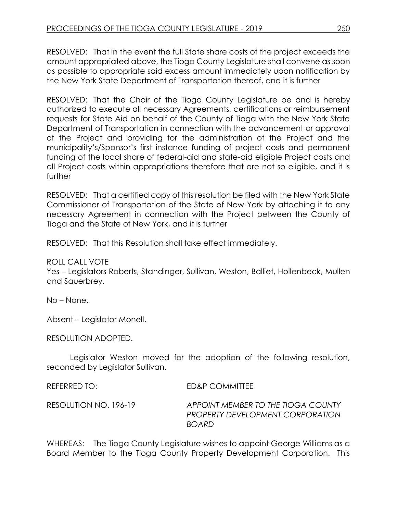RESOLVED: That in the event the full State share costs of the project exceeds the amount appropriated above, the Tioga County Legislature shall convene as soon as possible to appropriate said excess amount immediately upon notification by the New York State Department of Transportation thereof, and it is further

RESOLVED: That the Chair of the Tioga County Legislature be and is hereby authorized to execute all necessary Agreements, certifications or reimbursement requests for State Aid on behalf of the County of Tioga with the New York State Department of Transportation in connection with the advancement or approval of the Project and providing for the administration of the Project and the municipality's/Sponsor's first instance funding of project costs and permanent funding of the local share of federal-aid and state-aid eligible Project costs and all Project costs within appropriations therefore that are not so eligible, and it is further

RESOLVED: That a certified copy of this resolution be filed with the New York State Commissioner of Transportation of the State of New York by attaching it to any necessary Agreement in connection with the Project between the County of Tioga and the State of New York, and it is further

RESOLVED: That this Resolution shall take effect immediately.

ROLL CALL VOTE

Yes – Legislators Roberts, Standinger, Sullivan, Weston, Balliet, Hollenbeck, Mullen and Sauerbrey.

No – None.

Absent – Legislator Monell.

RESOLUTION ADOPTED.

Legislator Weston moved for the adoption of the following resolution, seconded by Legislator Sullivan.

REFERRED TO: ED&P COMMITTEE

RESOLUTION NO. 196-19 *APPOINT MEMBER TO THE TIOGA COUNTY PROPERTY DEVELOPMENT CORPORATION BOARD*

WHEREAS: The Tioga County Legislature wishes to appoint George Williams as a Board Member to the Tioga County Property Development Corporation. This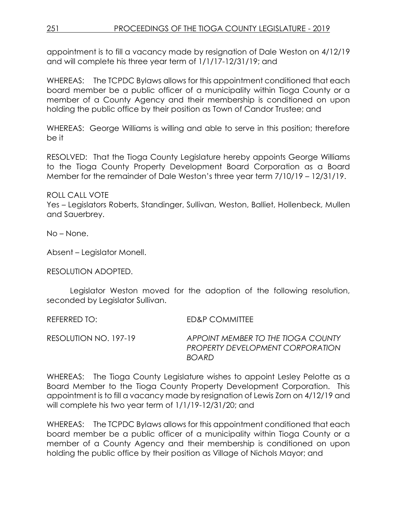appointment is to fill a vacancy made by resignation of Dale Weston on 4/12/19 and will complete his three year term of 1/1/17-12/31/19; and

WHEREAS: The TCPDC Bylaws allows for this appointment conditioned that each board member be a public officer of a municipality within Tioga County or a member of a County Agency and their membership is conditioned on upon holding the public office by their position as Town of Candor Trustee; and

WHEREAS: George Williams is willing and able to serve in this position; therefore be it

RESOLVED: That the Tioga County Legislature hereby appoints George Williams to the Tioga County Property Development Board Corporation as a Board Member for the remainder of Dale Weston's three year term 7/10/19 – 12/31/19.

ROLL CALL VOTE

Yes – Legislators Roberts, Standinger, Sullivan, Weston, Balliet, Hollenbeck, Mullen and Sauerbrey.

No – None.

Absent – Legislator Monell.

RESOLUTION ADOPTED.

Legislator Weston moved for the adoption of the following resolution, seconded by Legislator Sullivan.

REFERRED TO: ED&P COMMITTEE

RESOLUTION NO. 197-19 *APPOINT MEMBER TO THE TIOGA COUNTY PROPERTY DEVELOPMENT CORPORATION BOARD*

WHEREAS: The Tioga County Legislature wishes to appoint Lesley Pelotte as a Board Member to the Tioga County Property Development Corporation. This appointment is to fill a vacancy made by resignation of Lewis Zorn on 4/12/19 and will complete his two year term of 1/1/19-12/31/20; and

WHEREAS: The TCPDC Bylaws allows for this appointment conditioned that each board member be a public officer of a municipality within Tioga County or a member of a County Agency and their membership is conditioned on upon holding the public office by their position as Village of Nichols Mayor; and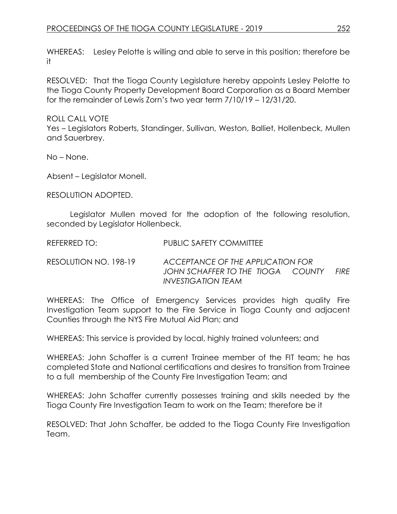WHEREAS: Lesley Pelotte is willing and able to serve in this position; therefore be it

RESOLVED: That the Tioga County Legislature hereby appoints Lesley Pelotte to the Tioga County Property Development Board Corporation as a Board Member for the remainder of Lewis Zorn's two year term 7/10/19 – 12/31/20.

ROLL CALL VOTE

Yes – Legislators Roberts, Standinger, Sullivan, Weston, Balliet, Hollenbeck, Mullen and Sauerbrey.

No – None.

Absent – Legislator Monell.

RESOLUTION ADOPTED.

Legislator Mullen moved for the adoption of the following resolution, seconded by Legislator Hollenbeck.

REFERRED TO: PUBLIC SAFETY COMMITTEE

RESOLUTION NO. 198-19 *ACCEPTANCE OF THE APPLICATION FOR JOHN SCHAFFER TO THE TIOGA COUNTY FIRE INVESTIGATION TEAM* 

WHEREAS: The Office of Emergency Services provides high quality Fire Investigation Team support to the Fire Service in Tioga County and adjacent Counties through the NYS Fire Mutual Aid Plan; and

WHEREAS: This service is provided by local, highly trained volunteers; and

WHEREAS: John Schaffer is a current Trainee member of the FIT team; he has completed State and National certifications and desires to transition from Trainee to a full membership of the County Fire Investigation Team; and

WHEREAS: John Schaffer currently possesses training and skills needed by the Tioga County Fire Investigation Team to work on the Team; therefore be it

RESOLVED: That John Schaffer, be added to the Tioga County Fire Investigation Team.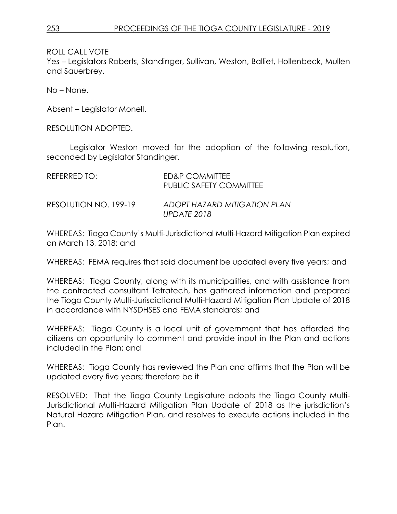Yes – Legislators Roberts, Standinger, Sullivan, Weston, Balliet, Hollenbeck, Mullen and Sauerbrey.

No – None.

Absent – Legislator Monell.

RESOLUTION ADOPTED.

Legislator Weston moved for the adoption of the following resolution, seconded by Legislator Standinger.

| REFERRED TO:          | ED&P COMMITTEE<br>PUBLIC SAFETY COMMITTEE   |
|-----------------------|---------------------------------------------|
| RESOLUTION NO. 199-19 | ADOPT HAZARD MITIGATION PLAN<br>UPDATE 2018 |

WHEREAS: Tioga County's Multi-Jurisdictional Multi-Hazard Mitigation Plan expired on March 13, 2018; and

WHEREAS: FEMA requires that said document be updated every five years; and

WHEREAS: Tioga County, along with its municipalities, and with assistance from the contracted consultant Tetratech, has gathered information and prepared the Tioga County Multi-Jurisdictional Multi-Hazard Mitigation Plan Update of 2018 in accordance with NYSDHSES and FEMA standards; and

WHEREAS: Tioga County is a local unit of government that has afforded the citizens an opportunity to comment and provide input in the Plan and actions included in the Plan; and

WHEREAS: Tioga County has reviewed the Plan and affirms that the Plan will be updated every five years; therefore be it

RESOLVED: That the Tioga County Legislature adopts the Tioga County Multi-Jurisdictional Multi-Hazard Mitigation Plan Update of 2018 as the jurisdiction's Natural Hazard Mitigation Plan, and resolves to execute actions included in the Plan.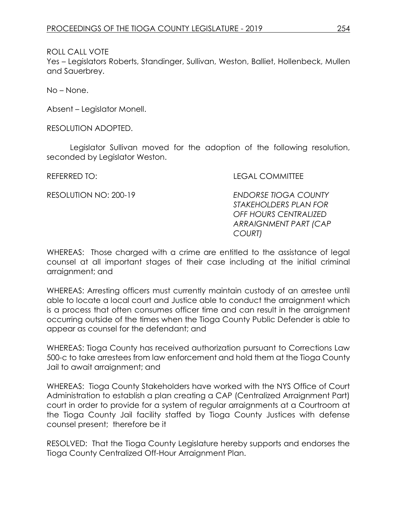Yes – Legislators Roberts, Standinger, Sullivan, Weston, Balliet, Hollenbeck, Mullen and Sauerbrey.

No – None.

Absent – Legislator Monell.

RESOLUTION ADOPTED.

Legislator Sullivan moved for the adoption of the following resolution, seconded by Legislator Weston.

REFERRED TO: LEGAL COMMITTEE

RESOLUTION NO: 200-19 *ENDORSE TIOGA COUNTY STAKEHOLDERS PLAN FOR OFF HOURS CENTRALIZED ARRAIGNMENT PART (CAP COURT)*

WHEREAS: Those charged with a crime are entitled to the assistance of legal counsel at all important stages of their case including at the initial criminal arraignment; and

WHEREAS: Arresting officers must currently maintain custody of an arrestee until able to locate a local court and Justice able to conduct the arraignment which is a process that often consumes officer time and can result in the arraignment occurring outside of the times when the Tioga County Public Defender is able to appear as counsel for the defendant; and

WHEREAS: Tioga County has received authorization pursuant to Corrections Law 500-c to take arrestees from law enforcement and hold them at the Tioga County Jail to await arraignment; and

WHEREAS: Tioga County Stakeholders have worked with the NYS Office of Court Administration to establish a plan creating a CAP (Centralized Arraignment Part) court in order to provide for a system of regular arraignments at a Courtroom at the Tioga County Jail facility staffed by Tioga County Justices with defense counsel present; therefore be it

RESOLVED: That the Tioga County Legislature hereby supports and endorses the Tioga County Centralized Off-Hour Arraignment Plan.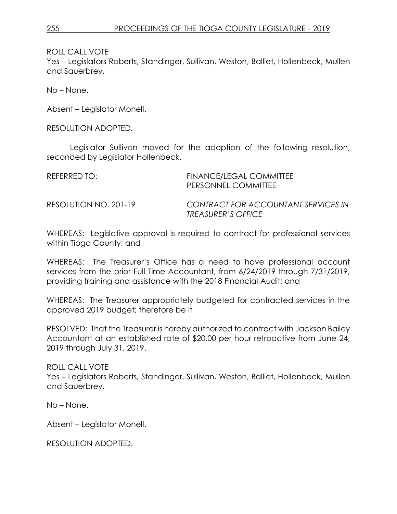Yes – Legislators Roberts, Standinger, Sullivan, Weston, Balliet, Hollenbeck, Mullen and Sauerbrey.

No – None.

Absent – Legislator Monell.

RESOLUTION ADOPTED.

Legislator Sullivan moved for the adoption of the following resolution, seconded by Legislator Hollenbeck.

| REFERRED TO: I        | FINANCE/LEGAL COMMITTEE<br>PERSONNEL COMMITTEE                   |
|-----------------------|------------------------------------------------------------------|
| RESOLUTION NO. 201-19 | CONTRACT FOR ACCOUNTANT SERVICES IN<br><b>TREASURER'S OFFICE</b> |

WHEREAS: Legislative approval is required to contract for professional services within Tioga County; and

WHEREAS: The Treasurer's Office has a need to have professional account services from the prior Full Time Accountant, from 6/24/2019 through 7/31/2019, providing training and assistance with the 2018 Financial Audit; and

WHEREAS: The Treasurer appropriately budgeted for contracted services in the approved 2019 budget; therefore be it

RESOLVED: That the Treasurer is hereby authorized to contract with Jackson Bailey Accountant at an established rate of \$20.00 per hour retroactive from June 24, 2019 through July 31, 2019.

ROLL CALL VOTE Yes – Legislators Roberts, Standinger, Sullivan, Weston, Balliet, Hollenbeck, Mullen and Sauerbrey.

No – None.

Absent – Legislator Monell.

RESOLUTION ADOPTED.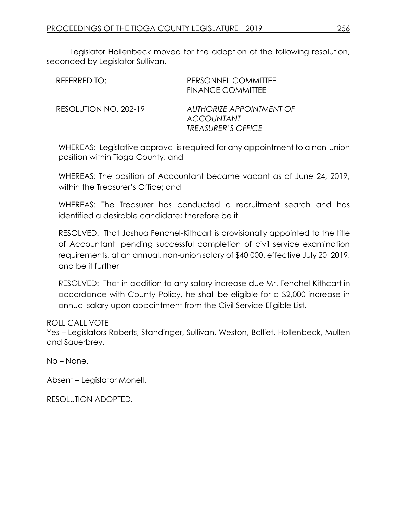Legislator Hollenbeck moved for the adoption of the following resolution, seconded by Legislator Sullivan.

| REFERRED TO:          | PERSONNEL COMMITTEE<br><b>FINANCE COMMITTEE</b>                            |
|-----------------------|----------------------------------------------------------------------------|
| RESOLUTION NO. 202-19 | AUTHORIZE APPOINTMENT OF<br><b>ACCOUNTANT</b><br><b>TREASURER'S OFFICE</b> |

WHEREAS: Legislative approval is required for any appointment to a non-union position within Tioga County; and

WHEREAS: The position of Accountant became vacant as of June 24, 2019, within the Treasurer's Office; and

WHEREAS: The Treasurer has conducted a recruitment search and has identified a desirable candidate; therefore be it

RESOLVED: That Joshua Fenchel-Kithcart is provisionally appointed to the title of Accountant, pending successful completion of civil service examination requirements, at an annual, non-union salary of \$40,000, effective July 20, 2019; and be it further

RESOLVED: That in addition to any salary increase due Mr. Fenchel-Kithcart in accordance with County Policy, he shall be eligible for a \$2,000 increase in annual salary upon appointment from the Civil Service Eligible List.

ROLL CALL VOTE

Yes – Legislators Roberts, Standinger, Sullivan, Weston, Balliet, Hollenbeck, Mullen and Sauerbrey.

No – None.

Absent – Legislator Monell.

RESOLUTION ADOPTED.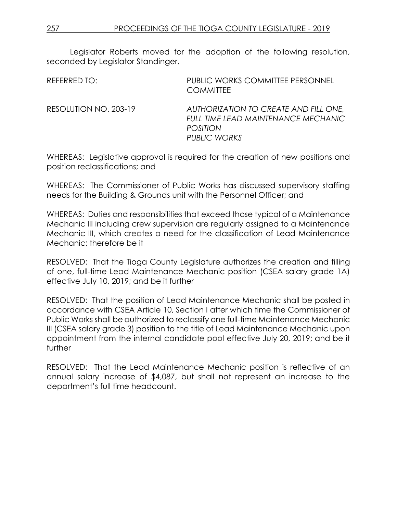Legislator Roberts moved for the adoption of the following resolution, seconded by Legislator Standinger.

| REFERRED TO:          | PUBLIC WORKS COMMITTEE PERSONNEL<br><b>COMMITTEE</b>                                                            |
|-----------------------|-----------------------------------------------------------------------------------------------------------------|
| RESOLUTION NO. 203-19 | AUTHORIZATION TO CREATE AND FILL ONE,<br>FULL TIME LEAD MAINTENANCE MECHANIC<br><b>POSITION</b><br>PUBLIC WORKS |

WHEREAS: Legislative approval is required for the creation of new positions and position reclassifications; and

WHEREAS: The Commissioner of Public Works has discussed supervisory staffing needs for the Building & Grounds unit with the Personnel Officer; and

WHEREAS: Duties and responsibilities that exceed those typical of a Maintenance Mechanic III including crew supervision are regularly assigned to a Maintenance Mechanic III, which creates a need for the classification of Lead Maintenance Mechanic; therefore be it

RESOLVED: That the Tioga County Legislature authorizes the creation and filling of one, full-time Lead Maintenance Mechanic position (CSEA salary grade 1A) effective July 10, 2019; and be it further

RESOLVED: That the position of Lead Maintenance Mechanic shall be posted in accordance with CSEA Article 10, Section I after which time the Commissioner of Public Works shall be authorized to reclassify one full-time Maintenance Mechanic III (CSEA salary grade 3) position to the title of Lead Maintenance Mechanic upon appointment from the internal candidate pool effective July 20, 2019; and be it further

RESOLVED: That the Lead Maintenance Mechanic position is reflective of an annual salary increase of \$4,087, but shall not represent an increase to the department's full time headcount.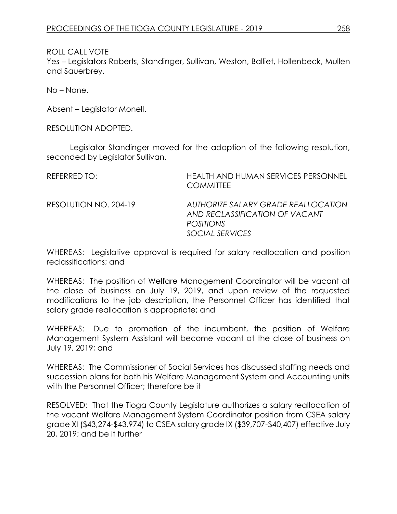Yes – Legislators Roberts, Standinger, Sullivan, Weston, Balliet, Hollenbeck, Mullen and Sauerbrey.

No – None.

Absent – Legislator Monell.

RESOLUTION ADOPTED.

Legislator Standinger moved for the adoption of the following resolution, seconded by Legislator Sullivan.

| REFERRED TO:          | <b>HEALTH AND HUMAN SERVICES PERSONNEL</b><br><b>COMMITTEE</b>                                               |
|-----------------------|--------------------------------------------------------------------------------------------------------------|
| RESOLUTION NO. 204-19 | AUTHORIZE SALARY GRADE REALLOCATION<br>AND RECLASSIFICATION OF VACANT<br><b>POSITIONS</b><br>SOCIAL SERVICES |

WHEREAS: Legislative approval is required for salary reallocation and position reclassifications; and

WHEREAS: The position of Welfare Management Coordinator will be vacant at the close of business on July 19, 2019, and upon review of the requested modifications to the job description, the Personnel Officer has identified that salary grade reallocation is appropriate; and

WHEREAS: Due to promotion of the incumbent, the position of Welfare Management System Assistant will become vacant at the close of business on July 19, 2019; and

WHEREAS: The Commissioner of Social Services has discussed staffing needs and succession plans for both his Welfare Management System and Accounting units with the Personnel Officer; therefore be it

RESOLVED: That the Tioga County Legislature authorizes a salary reallocation of the vacant Welfare Management System Coordinator position from CSEA salary grade XI (\$43,274-\$43,974) to CSEA salary grade IX (\$39,707-\$40,407) effective July 20, 2019; and be it further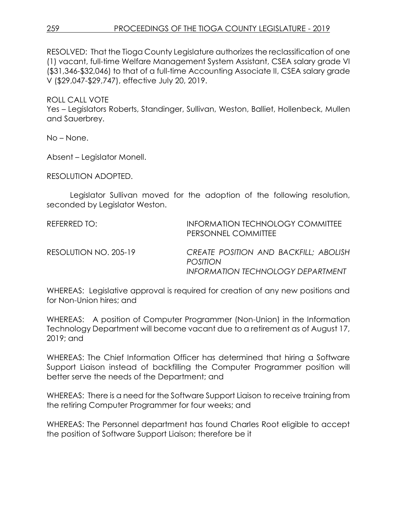RESOLVED: That the Tioga County Legislature authorizes the reclassification of one (1) vacant, full-time Welfare Management System Assistant, CSEA salary grade VI (\$31,346-\$32,046) to that of a full-time Accounting Associate II, CSEA salary grade V (\$29,047-\$29,747), effective July 20, 2019.

ROLL CALL VOTE Yes – Legislators Roberts, Standinger, Sullivan, Weston, Balliet, Hollenbeck, Mullen and Sauerbrey.

No – None.

Absent – Legislator Monell.

RESOLUTION ADOPTED.

Legislator Sullivan moved for the adoption of the following resolution, seconded by Legislator Weston.

REFERRED TO: INFORMATION TECHNOLOGY COMMITTEE PERSONNEL COMMITTEE RESOLUTION NO. 205-19 *CREATE POSITION AND BACKFILL; ABOLISH POSITION INFORMATION TECHNOLOGY DEPARTMENT*

WHEREAS: Legislative approval is required for creation of any new positions and for Non-Union hires; and

WHEREAS: A position of Computer Programmer (Non-Union) in the Information Technology Department will become vacant due to a retirement as of August 17, 2019; and

WHEREAS: The Chief Information Officer has determined that hiring a Software Support Liaison instead of backfilling the Computer Programmer position will better serve the needs of the Department; and

WHEREAS: There is a need for the Software Support Liaison to receive training from the retiring Computer Programmer for four weeks; and

WHEREAS: The Personnel department has found Charles Root eligible to accept the position of Software Support Liaison; therefore be it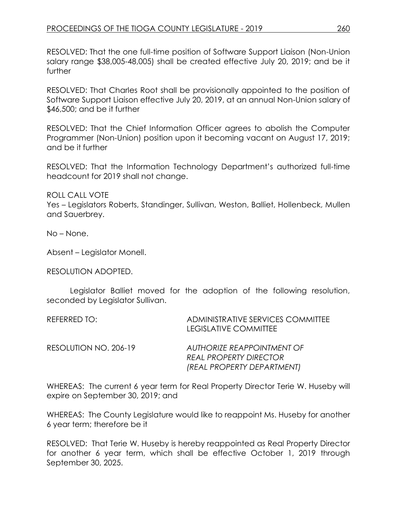RESOLVED: That the one full-time position of Software Support Liaison (Non-Union salary range \$38,005-48,005) shall be created effective July 20, 2019; and be it further

RESOLVED: That Charles Root shall be provisionally appointed to the position of Software Support Liaison effective July 20, 2019, at an annual Non-Union salary of \$46,500; and be it further

RESOLVED: That the Chief Information Officer agrees to abolish the Computer Programmer (Non-Union) position upon it becoming vacant on August 17, 2019; and be it further

RESOLVED: That the Information Technology Department's authorized full-time headcount for 2019 shall not change.

ROLL CALL VOTE

Yes – Legislators Roberts, Standinger, Sullivan, Weston, Balliet, Hollenbeck, Mullen and Sauerbrey.

No – None.

Absent – Legislator Monell.

RESOLUTION ADOPTED.

Legislator Balliet moved for the adoption of the following resolution, seconded by Legislator Sullivan.

| REFERRED TO:          | ADMINISTRATIVE SERVICES COMMITTEE<br>LEGISLATIVE COMMITTEE                                |
|-----------------------|-------------------------------------------------------------------------------------------|
| RESOLUTION NO. 206-19 | AUTHORIZE REAPPOINTMENT OF<br><b>REAL PROPERTY DIRECTOR</b><br>(REAL PROPERTY DEPARTMENT) |

WHEREAS: The current 6 year term for Real Property Director Terie W. Huseby will expire on September 30, 2019; and

WHEREAS: The County Legislature would like to reappoint Ms. Huseby for another 6 year term; therefore be it

RESOLVED: That Terie W. Huseby is hereby reappointed as Real Property Director for another 6 year term, which shall be effective October 1, 2019 through September 30, 2025.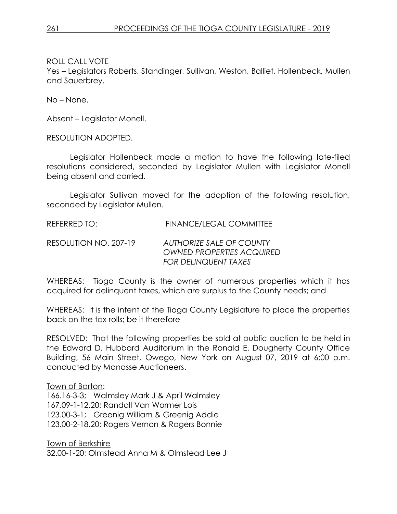Yes – Legislators Roberts, Standinger, Sullivan, Weston, Balliet, Hollenbeck, Mullen and Sauerbrey.

No – None.

Absent – Legislator Monell.

RESOLUTION ADOPTED.

Legislator Hollenbeck made a motion to have the following late-filed resolutions considered, seconded by Legislator Mullen with Legislator Monell being absent and carried.

Legislator Sullivan moved for the adoption of the following resolution, seconded by Legislator Mullen.

REFERRED TO: FINANCE/LEGAL COMMITTEE

RESOLUTION NO. 207-19 *AUTHORIZE SALE OF COUNTY OWNED PROPERTIES ACQUIRED FOR DELINQUENT TAXES*

WHEREAS: Tioga County is the owner of numerous properties which it has acquired for delinquent taxes, which are surplus to the County needs; and

WHEREAS: It is the intent of the Tioga County Legislature to place the properties back on the tax rolls; be it therefore

RESOLVED: That the following properties be sold at public auction to be held in the Edward D. Hubbard Auditorium in the Ronald E. Dougherty County Office Building, 56 Main Street, Owego, New York on August 07, 2019 at 6:00 p.m. conducted by Manasse Auctioneers.

#### Town of Barton:

166.16-3-3; Walmsley Mark J & April Walmsley 167.09-1-12.20; Randall Van Wormer Lois 123.00-3-1; Greenig William & Greenig Addie 123.00-2-18.20; Rogers Vernon & Rogers Bonnie

Town of Berkshire 32.00-1-20; Olmstead Anna M & Olmstead Lee J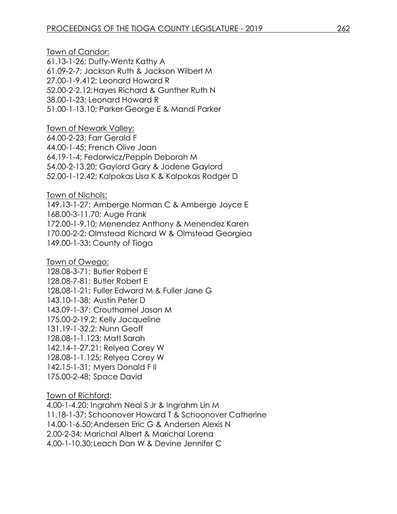Town of Candor: 61.13-1-26; Duffy-Wentz Kathy A 61.09-2-7; Jackson Ruth & Jackson Wilbert M 27.00-1-9.412; Leonard Howard R 52.00-2-2.12;Hayes Richard & Gunther Ruth N 38.00-1-23; Leonard Howard R 51.00-1-13.10; Parker George E & Mandi Parker

Town of Newark Valley:

64.00-2-23; Farr Gerald F 44.00-1-45; French Olive Joan 64.19-1-4; Fedorwicz/Peppin Deborah M 54.00-2-13.20; Gaylord Gary & Jodene Gaylord 52.00-1-12.42; Kalpokas Lisa K & Kalpokas Rodger D

Town of Nichols:

149.13-1-27; Amberge Norman C & Amberge Joyce E 168.00-3-11.70; Auge Frank 172.00-1-9.10; Menendez Anthony & Menendez Karen 170.00-2-2; Olmstead Richard W & Olmstead Georgiea 149.00-1-33; County of Tioga

Town of Owego: 128.08-3-71; Butler Robert E 128.08-7-81; Butler Robert E 128.08-1-21; Fuller Edward M & Fuller Jane G 143.10-1-38; Austin Peter D 143.09-1-37; Crouthamel Jason M 175.00-2-19.2; Kelly Jacqueline 131.19-1-32.2; Nunn Geoff 128.08-1-1.123; Matt Sarah 142.14-1-27.21; Relyea Corey W 128.08-1-1.125; Relyea Corey W 142.15-1-31; Myers Donald F II 175.00-2-48; Space David

Town of Richford:

4.00-1-4.20; Ingrahm Neal S Jr & Ingrahm Lin M 11.18-1-37; Schoonover Howard T & Schoonover Catherine 14.00-1-6.50;Andersen Eric G & Andersen Alexis N 2.00-2-34; Marichal Albert & Marichal Lorena 4.00-1-10.30;Leach Dan W & Devine Jennifer C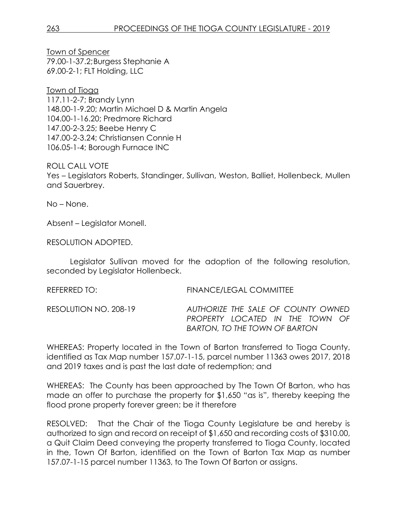Town of Spencer 79.00-1-37.2;Burgess Stephanie A 69.00-2-1; FLT Holding, LLC

Town of Tioga 117.11-2-7; Brandy Lynn 148.00-1-9.20; Martin Michael D & Martin Angela 104.00-1-16.20; Predmore Richard 147.00-2-3.25; Beebe Henry C 147.00-2-3.24; Christiansen Connie H 106.05-1-4; Borough Furnace INC

ROLL CALL VOTE

Yes – Legislators Roberts, Standinger, Sullivan, Weston, Balliet, Hollenbeck, Mullen and Sauerbrey.

No – None.

Absent – Legislator Monell.

RESOLUTION ADOPTED.

Legislator Sullivan moved for the adoption of the following resolution, seconded by Legislator Hollenbeck.

| REFERRED TO:          | FINANCE/LEGAL COMMITTEE                                                                                       |
|-----------------------|---------------------------------------------------------------------------------------------------------------|
| RESOLUTION NO. 208-19 | AUTHORIZE THE SALE OF COUNTY OWNED<br>PROPERTY LOCATED IN THE TOWN OF<br><b>BARTON, TO THE TOWN OF BARTON</b> |

WHEREAS: Property located in the Town of Barton transferred to Tioga County, identified as Tax Map number 157.07-1-15, parcel number 11363 owes 2017, 2018 and 2019 taxes and is past the last date of redemption; and

WHEREAS: The County has been approached by The Town Of Barton, who has made an offer to purchase the property for \$1,650 "as is", thereby keeping the flood prone property forever green; be it therefore

RESOLVED: That the Chair of the Tioga County Legislature be and hereby is authorized to sign and record on receipt of \$1,650 and recording costs of \$310.00, a Quit Claim Deed conveying the property transferred to Tioga County, located in the, Town Of Barton, identified on the Town of Barton Tax Map as number 157.07-1-15 parcel number 11363, to The Town Of Barton or assigns.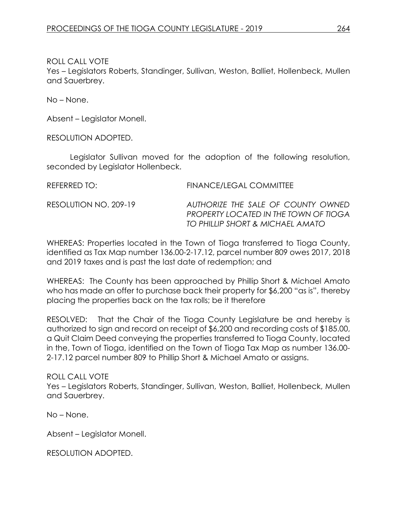Yes – Legislators Roberts, Standinger, Sullivan, Weston, Balliet, Hollenbeck, Mullen and Sauerbrey.

No – None.

Absent – Legislator Monell.

RESOLUTION ADOPTED.

Legislator Sullivan moved for the adoption of the following resolution, seconded by Legislator Hollenbeck.

REFERRED TO: FINANCE/LEGAL COMMITTEE

RESOLUTION NO. 209-19 *AUTHORIZE THE SALE OF COUNTY OWNED PROPERTY LOCATED IN THE TOWN OF TIOGA TO PHILLIP SHORT & MICHAEL AMATO*

WHEREAS: Properties located in the Town of Tioga transferred to Tioga County, identified as Tax Map number 136.00-2-17.12, parcel number 809 owes 2017, 2018 and 2019 taxes and is past the last date of redemption; and

WHEREAS: The County has been approached by Phillip Short & Michael Amato who has made an offer to purchase back their property for \$6,200 "as is", thereby placing the properties back on the tax rolls; be it therefore

RESOLVED: That the Chair of the Tioga County Legislature be and hereby is authorized to sign and record on receipt of \$6,200 and recording costs of \$185.00, a Quit Claim Deed conveying the properties transferred to Tioga County, located in the, Town of Tioga, identified on the Town of Tioga Tax Map as number 136.00- 2-17.12 parcel number 809 to Phillip Short & Michael Amato or assigns.

ROLL CALL VOTE Yes – Legislators Roberts, Standinger, Sullivan, Weston, Balliet, Hollenbeck, Mullen and Sauerbrey.

No – None.

Absent – Legislator Monell.

RESOLUTION ADOPTED.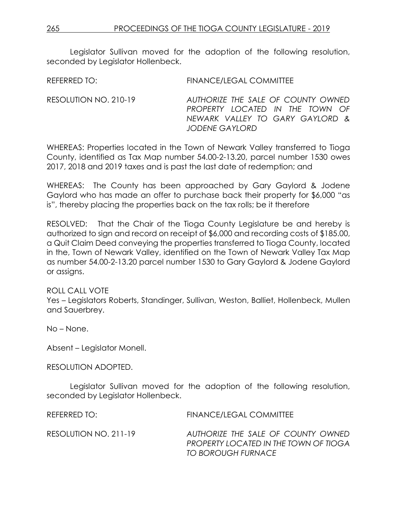Legislator Sullivan moved for the adoption of the following resolution, seconded by Legislator Hollenbeck.

REFERRED TO: FINANCE/LEGAL COMMITTEE

RESOLUTION NO. 210-19 *AUTHORIZE THE SALE OF COUNTY OWNED PROPERTY LOCATED IN THE TOWN OF NEWARK VALLEY TO GARY GAYLORD & JODENE GAYLORD*

WHEREAS: Properties located in the Town of Newark Valley transferred to Tioga County, identified as Tax Map number 54.00-2-13.20, parcel number 1530 owes 2017, 2018 and 2019 taxes and is past the last date of redemption; and

WHEREAS: The County has been approached by Gary Gaylord & Jodene Gaylord who has made an offer to purchase back their property for \$6,000 "as is", thereby placing the properties back on the tax rolls; be it therefore

RESOLVED: That the Chair of the Tioga County Legislature be and hereby is authorized to sign and record on receipt of \$6,000 and recording costs of \$185.00, a Quit Claim Deed conveying the properties transferred to Tioga County, located in the, Town of Newark Valley, identified on the Town of Newark Valley Tax Map as number 54.00-2-13.20 parcel number 1530 to Gary Gaylord & Jodene Gaylord or assigns.

### ROLL CALL VOTE

Yes – Legislators Roberts, Standinger, Sullivan, Weston, Balliet, Hollenbeck, Mullen and Sauerbrey.

No – None.

Absent – Legislator Monell.

#### RESOLUTION ADOPTED.

Legislator Sullivan moved for the adoption of the following resolution, seconded by Legislator Hollenbeck.

REFERRED TO: FINANCE/LEGAL COMMITTEE RESOLUTION NO. 211-19 *AUTHORIZE THE SALE OF COUNTY OWNED PROPERTY LOCATED IN THE TOWN OF TIOGA TO BOROUGH FURNACE*